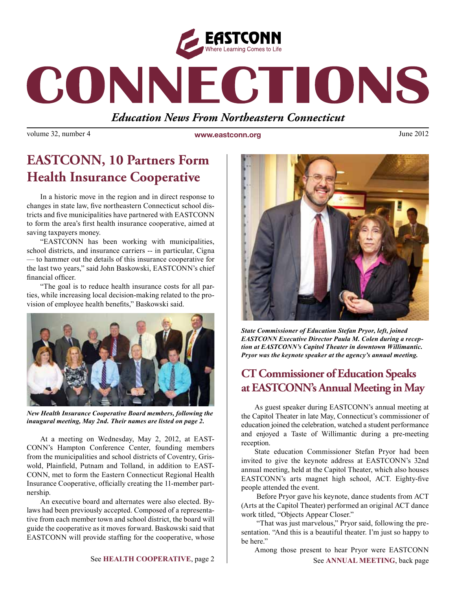

# CONNECTIONS

### *Education News From Northeastern Connecticut*

volume 32, number 4 **www.eastconn.org** June 2012

## **EASTCONN, 10 Partners Form Health Insurance Cooperative**

In a historic move in the region and in direct response to changes in state law, fve northeastern Connecticut school districts and fve municipalities have partnered with EASTCONN to form the area's frst health insurance cooperative, aimed at saving taxpayers money.

"EASTCONN has been working with municipalities, school districts, and insurance carriers -- in particular, Cigna — to hammer out the details of this insurance cooperative for the last two years," said John Baskowski, EASTCONN's chief financial officer.

"The goal is to reduce health insurance costs for all parties, while increasing local decision-making related to the provision of employee health benefts," Baskowski said.



*New Health Insurance Cooperative Board members, following the inaugural meeting, May 2nd. Their names are listed on page 2.*

At a meeting on Wednesday, May 2, 2012, at EAST-CONN's Hampton Conference Center, founding members from the municipalities and school districts of Coventry, Griswold, Plainfeld, Putnam and Tolland, in addition to EAST-CONN, met to form the Eastern Connecticut Regional Health Insurance Cooperative, officially creating the 11-member partnership.

An executive board and alternates were also elected. Bylaws had been previously accepted. Composed of a representative from each member town and school district, the board will guide the cooperative as it moves forward. Baskowski said that EASTCONN will provide staffng for the cooperative, whose



*State Commissioner of Education Stefan Pryor, left, joined EASTCONN Executive Director Paula M. Colen during a reception at EASTCONN's Capitol Theater in downtown Willimantic. Pryor was the keynote speaker at the agency's annual meeting.* 

## **CT Commissioner of Education Speaks at EASTCONN's Annual Meeting in May**

As guest speaker during EASTCONN's annual meeting at the Capitol Theater in late May, Connecticut's commissioner of education joined the celebration, watched a student performance and enjoyed a Taste of Willimantic during a pre-meeting reception.

State education Commissioner Stefan Pryor had been invited to give the keynote address at EASTCONN's 32nd annual meeting, held at the Capitol Theater, which also houses EASTCONN's arts magnet high school, ACT. Eighty-fve people attended the event.

 Before Pryor gave his keynote, dance students from ACT (Arts at the Capitol Theater) performed an original ACT dance work titled, "Objects Appear Closer."

 "That was just marvelous," Pryor said, following the presentation. "And this is a beautiful theater. I'm just so happy to be here."

See **HEALTH COOPERATIVE**, page 2 | See **ANNUAL MEETING**, back page Among those present to hear Pryor were EASTCONN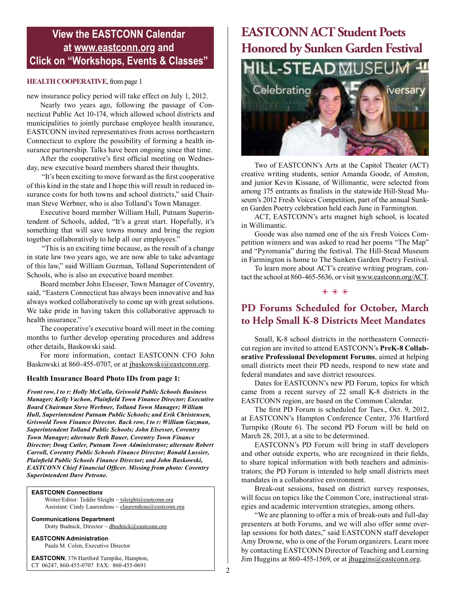#### **View the EASTCONN Calendar at <www.eastconn.org> and Click on "Workshops, Events & Classes"**

#### **HEALTH COOPERATIVE**, from page 1

new insurance policy period will take effect on July 1, 2012.

Nearly two years ago, following the passage of Connecticut Public Act 10-174, which allowed school districts and municipalities to jointly purchase employee health insurance, EASTCONN invited representatives from across northeastern Connecticut to explore the possibility of forming a health insurance partnership. Talks have been ongoing since that time.

After the cooperative's first official meeting on Wednesday, new executive board members shared their thoughts.

 "It's been exciting to move forward as the frst cooperative of this kind in the state and I hope this will result in reduced insurance costs for both towns and school districts," said Chairman Steve Werbner, who is also Tolland's Town Manager.

Executive board member William Hull, Putnam Superintendent of Schools, added, "It's a great start. Hopefully, it's something that will save towns money and bring the region together collaboratively to help all our employees."

 "This is an exciting time because, as the result of a change in state law two years ago, we are now able to take advantage of this law," said William Guzman, Tolland Superintendent of Schools, who is also an executive board member.

Board member John Elsesser, Town Manager of Coventry, said, "Eastern Connecticut has always been innovative and has always worked collaboratively to come up with great solutions. We take pride in having taken this collaborative approach to health insurance."

The cooperative's executive board will meet in the coming months to further develop operating procedures and address other details, Baskowski said.

For more information, contact EASTCONN CFO John Baskowski at 860-455-0707, or at jbaskowski@eastconn.org.

#### **Health Insurance Board Photo IDs from page 1:**

*Front row, l to r: Holly McCalla, Griswold Public Schools Business Manager; Kelly Vachon, Plainfeld Town Finance Director; Executive Board Chairman Steve Werbner, Tolland Town Manager; William Hull, Superintendent Putnam Public Schools; and Erik Christensen, Griswold Town Finance Director. Back row, l to r: William Guzman, Superintendent Tolland Public Schools; John Elsesser, Coventry Town Manager; alternate Beth Bauer, Coventry Town Finance Director; Doug Cutler, Putnam Town Administrator; alternate Robert Carroll, Coventry Public Schools Finance Director; Ronald Lussier, Plainfeld Public Schools Finance Director; and John Baskowski, EASTCONN Chief Financial Offcer. Missing from photo: Coventry Superintendent Dave Petrone.*

**EASTCONN** *Connections* 

Writer/Editor: Teddie Sleight ~ tsleigh[t@eastconn.org](mailto:tsleight@eastconn.org) Assistant: Cindy Laurendeau ~ [claurendeau@eastconn.org](mailto:claurendeau@eastconn.org)

**[Communications Department](%20mailto:connections@eastconn.org)** [Dotty Budnick,](mailto:dbudnick@eastconn.org) Director ~ [dbudnick@eastconn.org](http://mailto:dbudnick@eastconn.org)

**EASTCONN Administration** Paula M. Colen, Executive Director

**EASTCONN**, 376 Hartford Turnpike, Hampton, CT 06247, 860-455-0707 FAX: 860-455-0691

## **EASTCONN ACT Student Poets Honored by Sunken Garden Festival**



Two of EASTCONN's Arts at the Capitol Theater (ACT) creative writing students, senior Amanda Goode, of Amston, and junior Kevin Kissane, of Willimantic, were selected from among 175 entrants as fnalists in the statewide Hill-Stead Museum's 2012 Fresh Voices Competition, part of the annual Sunken Garden Poetry celebration held each June in Farmington.

ACT, EASTCONN's arts magnet high school, is located in Willimantic.

Goode was also named one of the six Fresh Voices Competition winners and was asked to read her poems "The Map" and "Pyromania" during the festival. The Hill-Stead Museum in Farmington is home to The Sunken Garden Poetry Festival.

To learn more about ACT's creative writing program, contact the school at 860-465-5636, or visit www.eastconn.org/ACT.

 $$ 

#### **PD Forums Scheduled for October, March to Help Small K-8 Districts Meet Mandates**

Small, K-8 school districts in the northeastern Connecticut region are invited to attend EASTCONN's **PreK-8 Collaborative Professional Development Forums**, aimed at helping small districts meet their PD needs, respond to new state and federal mandates and save district resources.

Dates for EASTCONN's new PD Forum, topics for which came from a recent survey of 22 small K-8 districts in the EASTCONN region, are based on the Common Calendar.

The frst PD Forum is scheduled for Tues., Oct. 9, 2012, at EASTCONN's Hampton Conference Center, 376 Hartford Turnpike (Route 6). The second PD Forum will be held on March 28, 2013, at a site to be determined.

EASTCONN's PD Forum will bring in staff developers and other outside experts, who are recognized in their felds, to share topical information with both teachers and administrators; the PD Forum is intended to help small districts meet mandates in a collaborative environment.

Break-out sessions, based on district survey responses, will focus on topics like the Common Core, instructional strategies and academic intervention strategies, among others.

"We are planning to offer a mix of break-outs and full-day presenters at both Forums, and we will also offer some overlap sessions for both dates," said EASTCONN staff developer Amy Drowne, who is one of the Forum organizers. Learn more by contacting EASTCONN Director of Teaching and Learning Jim Huggins at 860-455-1569, or at *jhuggins@eastconn.org.*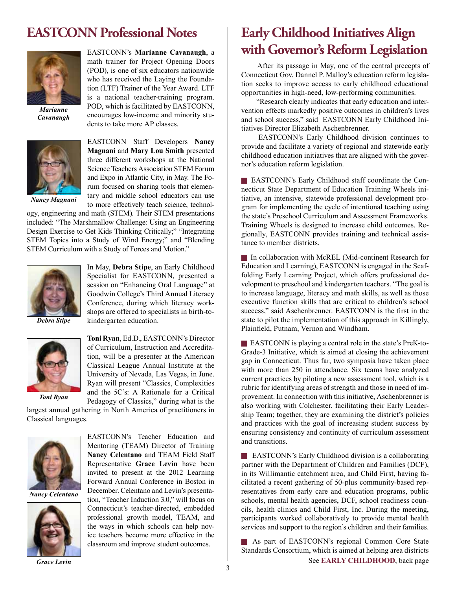## **EASTCONN Professional Notes**



*Marianne Cavanaugh*



EASTCONN's **Marianne Cavanaugh**, a math trainer for Project Opening Doors (POD), is one of six educators nationwide who has received the Laying the Foundation (LTF) Trainer of the Year Award. LTF is a national teacher-training program. POD, which is facilitated by EASTCONN, encourages low-income and minority students to take more AP classes.

EASTCONN Staff Developers **Nancy Magnani** and **Mary Lou Smith** presented three different workshops at the National Science Teachers Association STEM Forum and Expo in Atlantic City, in May. The Forum focused on sharing tools that elementary and middle school educators can use to more effectively teach science, technol-

*Nancy Magnani*

ogy, engineering and math (STEM). Their STEM presentations included: "The Marshmallow Challenge: Using an Engineering Design Exercise to Get Kids Thinking Critically;" "Integrating STEM Topics into a Study of Wind Energy;" and "Blending STEM Curriculum with a Study of Forces and Motion."



In May, **Debra Stipe**, an Early Childhood Specialist for EASTCONN, presented a session on "Enhancing Oral Language" at Goodwin College's Third Annual Literacy Conference, during which literacy workshops are offered to specialists in birth-tokindergarten education.

*Debra Stipe*



**Toni Ryan**, Ed.D., EASTCONN's Director of Curriculum, Instruction and Accreditation, will be a presenter at the American Classical League Annual Institute at the University of Nevada, Las Vegas, in June. Ryan will present "Classics, Complexities and the 5C's: A Rationale for a Critical Pedagogy of Classics," during what is the

largest annual gathering in North America of practitioners in Classical languages.



*Nancy Celentano*



*Grace Levin*

EASTCONN's Teacher Education and Mentoring (TEAM) Director of Training **Nancy Celentano** and TEAM Field Staff Representative **Grace Levin** have been invited to present at the 2012 Learning Forward Annual Conference in Boston in December. Celentano and Levin's presentation, "Teacher Induction 3.0," will focus on Connecticut's teacher-directed, embedded professional growth model, TEAM, and the ways in which schools can help novice teachers become more effective in the classroom and improve student outcomes.

## **Early Childhood Initiatives Align with Governor's Reform Legislation**

 After its passage in May, one of the central precepts of Connecticut Gov. Dannel P. Malloy's education reform legislation seeks to improve access to early childhood educational opportunities in high-need, low-performing communities.

 "Research clearly indicates that early education and intervention effects markedly positive outcomes in children's lives and school success," said EASTCONN Early Childhood Initiatives Director Elizabeth Aschenbrenner.

 EASTCONN's Early Childhood division continues to provide and facilitate a variety of regional and statewide early childhood education initiatives that are aligned with the governor's education reform legislation.

**EASTCONN's Early Childhood staff coordinate the Con**necticut State Department of Education Training Wheels initiative, an intensive, statewide professional development program for implementing the cycle of intentional teaching using the state's Preschool Curriculum and Assessment Frameworks. Training Wheels is designed to increase child outcomes. Regionally, EASTCONN provides training and technical assistance to member districts.

**F** In collaboration with McREL (Mid-continent Research for Education and Learning), EASTCONN is engaged in the Scaffolding Early Learning Project, which offers professional development to preschool and kindergarten teachers. "The goal is to increase language, literacy and math skills, as well as those executive function skills that are critical to children's school success," said Aschenbrenner. EASTCONN is the first in the state to pilot the implementation of this approach in Killingly, Plainfeld, Putnam, Vernon and Windham.

**EASTCONN** is playing a central role in the state's PreK-to-Grade-3 Initiative, which is aimed at closing the achievement gap in Connecticut. Thus far, two symposia have taken place with more than 250 in attendance. Six teams have analyzed current practices by piloting a new assessment tool, which is a rubric for identifying areas of strength and those in need of improvement. In connection with this initiative, Aschenbrenner is also working with Colchester, facilitating their Early Leadership Team; together, they are examining the district's policies and practices with the goal of increasing student success by ensuring consistency and continuity of curriculum assessment and transitions.

**EASTCONN's Early Childhood division is a collaborating** partner with the Department of Children and Families (DCF), in its Willimantic catchment area, and Child First, having facilitated a recent gathering of 50-plus community-based representatives from early care and education programs, public schools, mental health agencies, DCF, school readiness councils, health clinics and Child First, Inc. During the meeting, participants worked collaboratively to provide mental health services and support to the region's children and their families.

As part of EASTCONN's regional Common Core State Standards Consortium, which is aimed at helping area districts See **EARLY CHILDHOOD**, back page